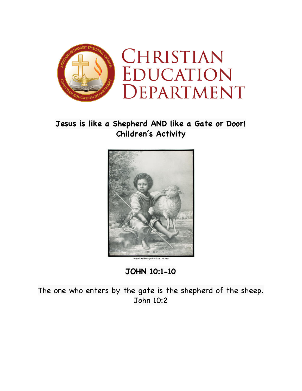

## **Jesus is like a Shepherd AND like a Gate or Door! Children's Activity**



**JOHN 10:1-10**

The one who enters by the gate is the shepherd of the sheep. John 10:2